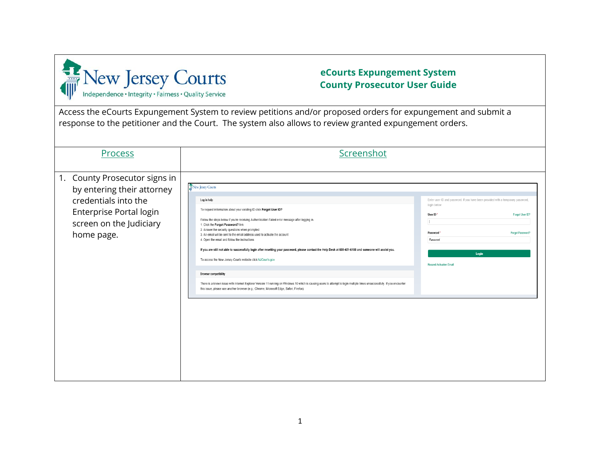

## **eCourts Expungement System County Prosecutor User Guide**

Access the eCourts Expungement System to review petitions and/or proposed orders for expungement and submit a response to the petitioner and the Court. The system also allows to review granted expungement orders.

I

| Process                                                                                                                                                 | Screenshot                                                                                                                                                                                                                                                                                                                                                                                                                                                                                                                                                                                                                                                                                                                                                                                                                                                                                                                                                           |                                                                                                                                                                                |                                     |
|---------------------------------------------------------------------------------------------------------------------------------------------------------|----------------------------------------------------------------------------------------------------------------------------------------------------------------------------------------------------------------------------------------------------------------------------------------------------------------------------------------------------------------------------------------------------------------------------------------------------------------------------------------------------------------------------------------------------------------------------------------------------------------------------------------------------------------------------------------------------------------------------------------------------------------------------------------------------------------------------------------------------------------------------------------------------------------------------------------------------------------------|--------------------------------------------------------------------------------------------------------------------------------------------------------------------------------|-------------------------------------|
| 1. County Prosecutor signs in<br>by entering their attorney<br>credentials into the<br>Enterprise Portal login<br>screen on the Judiciary<br>home page. | New Jersey Courts<br>Log in help<br>To request information about your existing ID click Forgot User ID?<br>Follow the steps below if you're receiving Authentication Failed error message after logging in.<br>1. Click the Forgot Password? link<br>2. Answer the security questions when prompted<br>3. An email will be sent to the email address used to activate the account<br>4. Open the email and follow the instructions<br>If you are still not able to successfully login after resetting your password, please contact the Help Desk at 609-421-6100 and someone will assist you.<br>To access the New Jersey Courts website click NJCourts.gov<br><b>Browser</b> compatibility<br>There is a known issue with Internet Explorer Version 11 running on Windows 10 which is causing users to attempt to login multiple times unsuccessfully. If you encounter<br>this issue, please use another browser (e.g., Chrome, Microsoft Edge, Safari, Firefox). | Enter user ID and password. If you have been provided with a temporary password,<br>login below<br>User ID*<br>Password<br>Password<br>Login<br><b>Resend Activation Email</b> | Forgot User ID?<br>Forgot Password? |
|                                                                                                                                                         |                                                                                                                                                                                                                                                                                                                                                                                                                                                                                                                                                                                                                                                                                                                                                                                                                                                                                                                                                                      |                                                                                                                                                                                |                                     |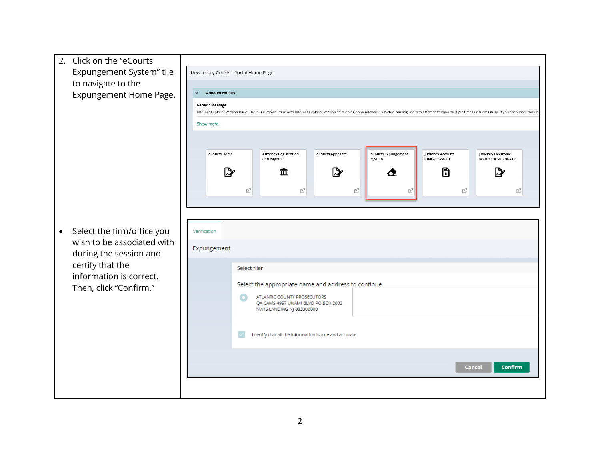2. Click on the "eCourts Expungement System" tile New Jersey Courts - Portal Home Page to navigate to the Expungement Home Page.  $\checkmark$ Announcements **Generic Message** Internet Explorer Version Issue: There is a known issue with Internet Explorer Version 11 running on Windows 10 which is causing users to attempt to login multiple times unsuccessfully. If you encounter this iss Show more Attorney Registration<br>and Payment eCourts Appellate Judiciary Account<br>Charge System eCourts Home Judiciary Electronic eCourts Expungement Document Submission System  $\mathbb{D}$  $\mathbb{R}^n$ 骨 Cγ 血 ◔ 乙  $\mathbb{Z}^n$ 乙 ☑ ☑ Ø • Select the firm/office you Verification wish to be associated with Expungement during the session and certify that the Select filer information is correct. Select the appropriate name and address to continue Then, click "Confirm." $\bullet$ ATLANTIC COUNTY PROSECUTORS QA CAMS 4997 UNAMI BLVD PO BOX 2002 MAYS LANDING NJ 083300000 I certify that all the information is true and accurate Cancel **Confirm**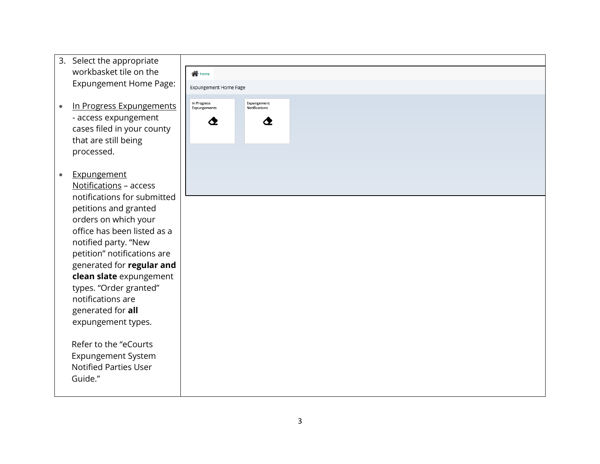- 3. Select the appropriate workbasket tile on the Expungement Home Page :
- In Progress Expungements - access expungement cases filed in your county that are still being processed .
- Expungement Notification s – access notifications for submitted petitions and granted orders on which your office has been listed as a notified party. "New petition " notifications are generated for **regular and clean slate** expungement types . "Order granted " notifications are generated for **all**  expungement types.

Refer to the "eCourts Expungement System Notified Parties User Guide."

| <b>N</b> Home                    |                                   |  |  |
|----------------------------------|-----------------------------------|--|--|
| Expungement Home Page            |                                   |  |  |
|                                  |                                   |  |  |
| In Progress<br>Expungements<br>◔ | Expungement<br>Notifications<br>♦ |  |  |
|                                  |                                   |  |  |
|                                  |                                   |  |  |
|                                  |                                   |  |  |
|                                  |                                   |  |  |
|                                  |                                   |  |  |
|                                  |                                   |  |  |
|                                  |                                   |  |  |
|                                  |                                   |  |  |
|                                  |                                   |  |  |
|                                  |                                   |  |  |
|                                  |                                   |  |  |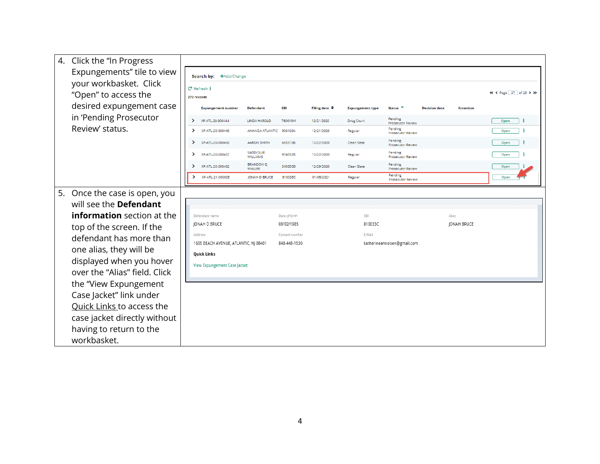| 4. Click the "In Progress         |               |                                                  |                                   |                                |                          |                         |                                     |                      |                  |                        |
|-----------------------------------|---------------|--------------------------------------------------|-----------------------------------|--------------------------------|--------------------------|-------------------------|-------------------------------------|----------------------|------------------|------------------------|
| Expungements" tile to view        |               | Search by: +Add/Change                           |                                   |                                |                          |                         |                                     |                      |                  |                        |
| your workbasket. Click            |               | $C$ Refresh $\frac{1}{2}$                        |                                   |                                |                          |                         |                                     |                      |                  |                        |
| "Open" to access the              | 272 records   |                                                  |                                   |                                |                          |                         |                                     |                      |                  | « < Page 27 of 28 > >> |
| desired expungement case          |               | <b>Expungement number</b>                        | <b>Defendant</b>                  | <b>SBI</b>                     | Filling date $\triangle$ | <b>Expungement type</b> | Status <sup>4</sup>                 | <b>Decision date</b> | <b>Attention</b> |                        |
| in 'Pending Prosecutor            | $\rightarrow$ | XP-ATL-20-000444                                 | <b>LINDA HAROLD</b>               | 760010M                        | 12/21/2020               | Drug Court              | Pending<br><b>Prosecutor Review</b> |                      |                  | ÷<br>Open              |
| Review' status.                   | $\rightarrow$ | XP-ATL-20-000449                                 | AMANDA ATLANTIC                   | 900100A                        | 12/21/2020               | Regular                 | Pending<br><b>Prosecutor Review</b> |                      |                  | ÷<br>Open              |
|                                   | ≻             | XP-ATL-20-000456                                 | <b>AARON SMITH</b>                | 665510B                        | 12/22/2020               | Clean Slate             | Pending<br>Prosecutor Review        |                      |                  | ÷<br>Open              |
|                                   | $\rightarrow$ | XP-ATL-20-000457                                 | SADDIQUIE<br><b>WILLIAMS</b>      | 974332B                        | 12/22/2020               | Regular                 | Pending<br>Prosecutor Review        |                      |                  | Open                   |
|                                   | $\rightarrow$ | XP-ATL-20-000462                                 | <b>BRANDON Q</b><br><b>WALLER</b> | 540350D                        | 12/29/2020               | Clean Slate             | Pending<br>Prosecutor Review        |                      |                  | Open                   |
|                                   | $\rightarrow$ | XP-ATL-21-000005                                 | <b>JONAH D BRUCE</b>              | 810033C                        | 01/05/2021               | Regular                 | Pending<br><b>Prosecutor Review</b> |                      |                  | Open                   |
| 5. Once the case is open, you     |               |                                                  |                                   |                                |                          |                         |                                     |                      |                  |                        |
| will see the <b>Defendant</b>     |               |                                                  |                                   |                                |                          |                         |                                     |                      |                  |                        |
| <b>information</b> section at the |               | Defendant name                                   |                                   | Date of birth                  |                          | <b>SBI</b>              |                                     |                      | Alias            |                        |
| top of the screen. If the         |               | <b>JONAH D BRUCE</b>                             |                                   | 08/02/1985                     |                          | 810033C                 |                                     |                      | JONAH BRUCE      |                        |
| defendant has more than           |               | Address<br>1655 BEACH AVENUE, ATLANTIC, NJ 08401 |                                   | Contact number<br>848-448-1530 |                          | E-Mail                  | katherineannolsen@gmail.com         |                      |                  |                        |
| one alias, they will be           |               | <b>Quick Links</b>                               |                                   |                                |                          |                         |                                     |                      |                  |                        |
| displayed when you hover          |               | View Expungement Case Jacket                     |                                   |                                |                          |                         |                                     |                      |                  |                        |
| over the "Alias" field. Click     |               |                                                  |                                   |                                |                          |                         |                                     |                      |                  |                        |
| the "View Expungement             |               |                                                  |                                   |                                |                          |                         |                                     |                      |                  |                        |
| Case Jacket" link under           |               |                                                  |                                   |                                |                          |                         |                                     |                      |                  |                        |
| Quick Links to access the         |               |                                                  |                                   |                                |                          |                         |                                     |                      |                  |                        |
| case jacket directly without      |               |                                                  |                                   |                                |                          |                         |                                     |                      |                  |                        |
| having to return to the           |               |                                                  |                                   |                                |                          |                         |                                     |                      |                  |                        |
| workbasket.                       |               |                                                  |                                   |                                |                          |                         |                                     |                      |                  |                        |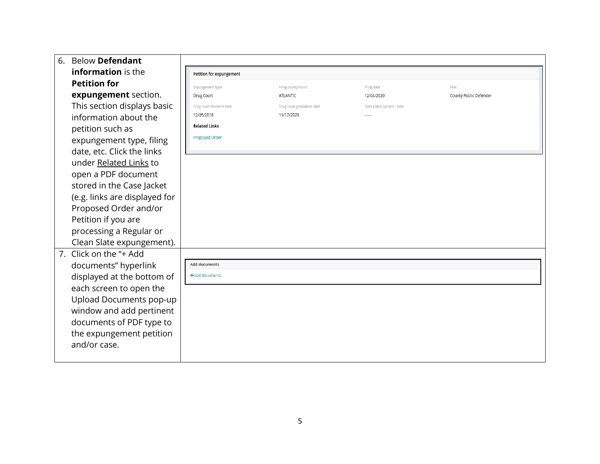| 6. | <b>Below Defendant</b>        |                          |                            |                             |                        |
|----|-------------------------------|--------------------------|----------------------------|-----------------------------|------------------------|
|    | information is the            | Petition for expungement |                            |                             |                        |
|    | <b>Petition for</b>           | Expungement type         | Filing county/court        | Filing date                 | Filer                  |
|    | expungement section.          | Drug Court               | ATLANTIC                   | 12/04/2020                  | County Public Defender |
|    | This section displays basic   | Drug court sentence date | Drug court graduation date | State police opinion - date |                        |
|    | information about the         | 12/05/2018               | 11/17/2020                 |                             |                        |
|    | petition such as              | <b>Related Links</b>     |                            |                             |                        |
|    | expungement type, filing      | Proposed Order           |                            |                             |                        |
|    | date, etc. Click the links    |                          |                            |                             |                        |
|    | under Related Links to        |                          |                            |                             |                        |
|    | open a PDF document           |                          |                            |                             |                        |
|    | stored in the Case Jacket     |                          |                            |                             |                        |
|    | (e.g. links are displayed for |                          |                            |                             |                        |
|    | Proposed Order and/or         |                          |                            |                             |                        |
|    | Petition if you are           |                          |                            |                             |                        |
|    | processing a Regular or       |                          |                            |                             |                        |
|    | Clean Slate expungement).     |                          |                            |                             |                        |
|    | 7. Click on the "+ Add        |                          |                            |                             |                        |
|    | documents" hyperlink          | <b>Add documents</b>     |                            |                             |                        |
|    | displayed at the bottom of    | +Add documents           |                            |                             |                        |
|    | each screen to open the       |                          |                            |                             |                        |
|    | Upload Documents pop-up       |                          |                            |                             |                        |
|    | window and add pertinent      |                          |                            |                             |                        |
|    | documents of PDF type to      |                          |                            |                             |                        |
|    | the expungement petition      |                          |                            |                             |                        |
|    | and/or case.                  |                          |                            |                             |                        |
|    |                               |                          |                            |                             |                        |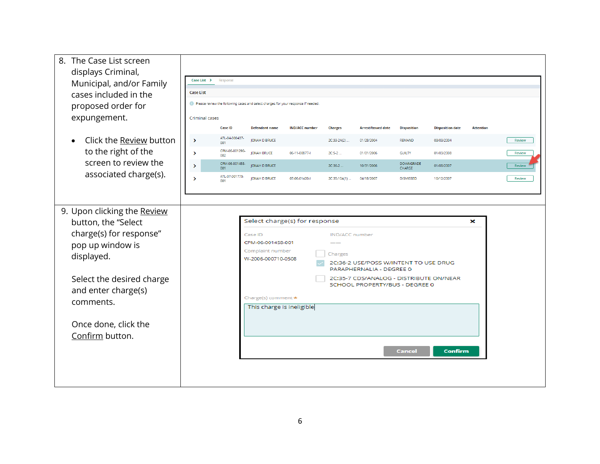| 8. The Case List screen<br>displays Criminal,<br>Municipal, and/or Family<br>cases included in the<br>proposed order for<br>expungement. | Case List ><br><b>Case List</b><br><b>Criminal cases</b> | Response<br><b>Case ID</b> | Please review the following cases and select charges for your response if needed.<br><b>Defendant name</b> | <b>IND/ACC number</b>         | <b>Charges</b>        | <b>Arrest/Issued date</b>                                                                             | <b>Disposition</b>         | <b>Disposition date</b> | <b>Attention</b> |               |
|------------------------------------------------------------------------------------------------------------------------------------------|----------------------------------------------------------|----------------------------|------------------------------------------------------------------------------------------------------------|-------------------------------|-----------------------|-------------------------------------------------------------------------------------------------------|----------------------------|-------------------------|------------------|---------------|
| Click the Review button                                                                                                                  | $\rightarrow$                                            | ATL-04-000437-<br>001      | <b>JONAH D BRUCE</b>                                                                                       |                               | 2C:33-2A(2)           | 01/28/2004                                                                                            | <b>REMAND</b>              | 03/03/2004              |                  | Review        |
| to the right of the                                                                                                                      | ⋗                                                        | CPM-06-001290-<br>002      | <b>JONAH BRUCE</b>                                                                                         | 06-11-00877-                  | $2C:5-2$              | 01/01/2006                                                                                            | <b>GUILTY</b>              | 01/03/2008              |                  | <b>Review</b> |
| screen to review the                                                                                                                     | $\mathcal{P}$                                            | CPM-06-001458-<br>001      | <b>IONAH D BRUCE</b>                                                                                       |                               | 2C:36-2.              | 10/31/2006                                                                                            | <b>DOWNGRADE</b><br>CHARGE | 01/08/2007              |                  | <b>Review</b> |
| associated charge(s).                                                                                                                    | $\rightarrow$                                            | ATL-07-001775-<br>001      | JONAH D BRUCE                                                                                              | 07-06-01420-1                 | 2C:35-10A(1)          | 04/18/2007                                                                                            | <b>DISMISSED</b>           | 10/12/2007              |                  | <b>Review</b> |
|                                                                                                                                          |                                                          |                            |                                                                                                            |                               |                       |                                                                                                       |                            |                         |                  |               |
| 9. Upon clicking the Review                                                                                                              |                                                          |                            |                                                                                                            | Select charge(s) for response |                       |                                                                                                       |                            |                         | ×                |               |
| button, the "Select<br>charge(s) for response"                                                                                           |                                                          |                            | Case ID                                                                                                    |                               | <b>IND/ACC</b> number |                                                                                                       |                            |                         |                  |               |
| pop up window is                                                                                                                         |                                                          |                            | CPM-06-001458-001                                                                                          |                               |                       |                                                                                                       |                            |                         |                  |               |
| displayed.                                                                                                                               |                                                          |                            | Complaint number<br>W-2006-000710-0508                                                                     |                               | Charges               | 2C:36-2 USE/POSS W/INTENT TO USE DRUG                                                                 |                            |                         |                  |               |
| Select the desired charge                                                                                                                |                                                          |                            |                                                                                                            |                               |                       | PARAPHERNALIA - DEGREE 0<br>2C:35-7 CDS/ANALOG - DISTRIBUTE ON/NEAR<br>SCHOOL PROPERTY/BUS - DEGREE 0 |                            |                         |                  |               |
| and enter charge(s)                                                                                                                      |                                                          |                            | Charge(s) comment *                                                                                        |                               |                       |                                                                                                       |                            |                         |                  |               |
| comments.                                                                                                                                |                                                          |                            | This charge is ineligible                                                                                  |                               |                       |                                                                                                       |                            |                         |                  |               |
| Once done, click the                                                                                                                     |                                                          |                            |                                                                                                            |                               |                       |                                                                                                       |                            |                         |                  |               |
| Confirm button.                                                                                                                          |                                                          |                            |                                                                                                            |                               |                       |                                                                                                       |                            |                         |                  |               |
|                                                                                                                                          |                                                          |                            |                                                                                                            |                               |                       |                                                                                                       | <b>Cancel</b>              | <b>Confirm</b>          |                  |               |
|                                                                                                                                          |                                                          |                            |                                                                                                            |                               |                       |                                                                                                       |                            |                         |                  |               |
|                                                                                                                                          |                                                          |                            |                                                                                                            |                               |                       |                                                                                                       |                            |                         |                  |               |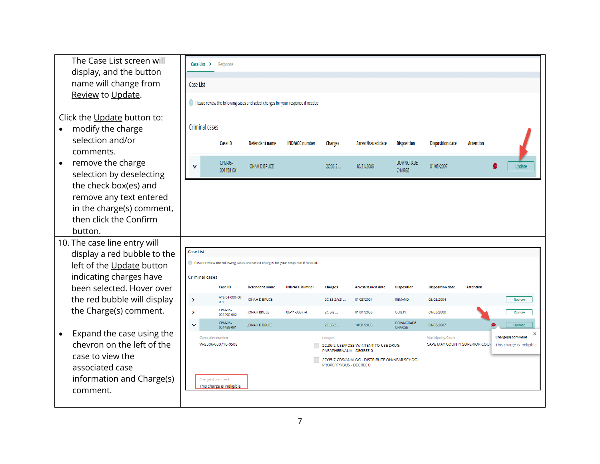| name will change from<br>Case List<br>Review to Update.<br>(1) Please review the following cases and select charges for your response if needed.                                                                  |                           |
|-------------------------------------------------------------------------------------------------------------------------------------------------------------------------------------------------------------------|---------------------------|
|                                                                                                                                                                                                                   |                           |
|                                                                                                                                                                                                                   |                           |
| Click the Update button to:                                                                                                                                                                                       |                           |
| Criminal cases<br>modify the charge                                                                                                                                                                               |                           |
| selection and/or<br>Case ID<br>Defendant name<br><b>IND/ACC number</b><br><b>Charges</b><br>Arrest/Issued date<br><b>Disposition</b><br><b>Disposition date</b><br><b>Attention</b><br>comments.                  |                           |
| remove the charge<br>CPM-06-<br>DOWNGRADE<br>$\bullet$<br><b>JONAH D BRUCE</b><br>2C:36-2<br>10/31/2006<br>01/08/2007<br>$\checkmark$<br><b>CHARGE</b><br>001458-001<br>selection by deselecting                  | Update                    |
| the check box(es) and<br>remove any text entered                                                                                                                                                                  |                           |
| in the charge(s) comment,                                                                                                                                                                                         |                           |
| then click the Confirm                                                                                                                                                                                            |                           |
| button.                                                                                                                                                                                                           |                           |
| 10. The case line entry will                                                                                                                                                                                      |                           |
| <b>Case List</b><br>display a red bubble to the                                                                                                                                                                   |                           |
| Please review the following cases and select charges for your response if needed<br>left of the Update button                                                                                                     |                           |
| indicating charges have<br>Criminal cases                                                                                                                                                                         |                           |
| been selected. Hover over<br><b>Case ID</b><br><b>Defendant name</b><br><b>IND/ACC number</b><br><b>Arrest/Issued date</b><br><b>Disposition</b><br><b>Disposition date</b><br><b>Attention</b><br><b>Charges</b> |                           |
| ATL-04-000437-<br>the red bubble will display<br>$\rightarrow$<br><b>JONAH D BRUCE</b><br>2C:33-2A(2).<br>01/28/2004<br><b>REMAND</b><br>03/03/2004<br>001                                                        | Review                    |
| the Charge(s) comment.<br>CPM-06-<br>$\rightarrow$<br>06-11-00877-<br>2C:5-2<br>01/01/2006<br><b>GUILTY</b><br>01/03/2008<br><b>JONAH BRUCE</b><br>001290-002                                                     | Review                    |
| CPM-06-<br><b>DOWNGRADE</b><br>$2C:36-2$<br><b>JONAH D BRUCE</b><br>10/31/2006<br>01/08/2007<br>$\checkmark$<br>001458-001<br>CHARGE                                                                              | Update                    |
| Expand the case using the<br>Complaint number<br>Municipality/Court<br>Charges                                                                                                                                    | <b>Charge(s) comment</b>  |
| chevron on the left of the<br>W-2006-000710-0508<br>CAPE MAY COUNTY SUPERIOR COUR<br>2C:36-2 USE/POSS W/INTENT TO USE DRUG<br>PARAPHERNALIA - DEGREE 0                                                            | This charge is ineligible |
| case to view the<br>2C:35-7 CDS/ANALOG - DISTRIBUTE ON/NEAR SCHOOL<br>PROPERTY/BUS - DEGREE 0                                                                                                                     |                           |
| associated case                                                                                                                                                                                                   |                           |
| information and Charge(s)<br>Charge(s) comment<br>This charge is ineligible                                                                                                                                       |                           |
| comment.                                                                                                                                                                                                          |                           |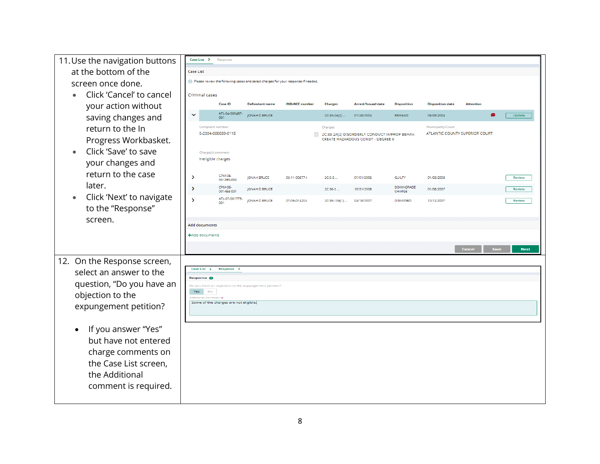| 11. Use the navigation buttons        | Case List ><br>Response                                                           |                              |                       |                       |                |                                                                                   |                            |                                                      |                       |             |
|---------------------------------------|-----------------------------------------------------------------------------------|------------------------------|-----------------------|-----------------------|----------------|-----------------------------------------------------------------------------------|----------------------------|------------------------------------------------------|-----------------------|-------------|
| at the bottom of the                  | <b>Case List</b>                                                                  |                              |                       |                       |                |                                                                                   |                            |                                                      |                       |             |
| screen once done.                     | Please review the following cases and select charges for your response if needed. |                              |                       |                       |                |                                                                                   |                            |                                                      |                       |             |
| Click 'Cancel' to cancel              | Criminal cases                                                                    |                              |                       |                       |                |                                                                                   |                            |                                                      |                       |             |
| your action without                   | <b>Case ID</b>                                                                    |                              | <b>Defendant name</b> | <b>IND/ACC</b> number | <b>Charges</b> | <b>Arrest/Issued date</b>                                                         | <b>Disposition</b>         | <b>Disposition date</b>                              | <b>Attention</b>      |             |
| saving changes and                    | $\checkmark$<br>001                                                               | ATL-04-000437-               | <b>JONAH D BRUCE</b>  |                       | 2C:33-2A(2)    | 01/28/2004                                                                        | <b>REMAND</b>              | 03/03/2004                                           |                       | Update      |
| return to the In                      | Complaint number<br>S-2004-000039-0118                                            |                              |                       |                       | Charges        |                                                                                   |                            | Municipality/Court<br>ATLANTIC COUNTY SUPERIOR COURT |                       |             |
| Progress Workbasket.                  |                                                                                   |                              |                       |                       |                | 2C:33-2A(2) DISORDERLY CONDUCT-IMPROP BEHAV-<br>CREATE HAZARDOUS CONDT - DEGREE 0 |                            |                                                      |                       |             |
| Click 'Save' to save                  | Charge(s) comment                                                                 |                              |                       |                       |                |                                                                                   |                            |                                                      |                       |             |
| your changes and                      | Ineligible charges                                                                |                              |                       |                       |                |                                                                                   |                            |                                                      |                       |             |
| return to the case                    | $\rightarrow$                                                                     | CPM-06-                      | <b>JONAH BRUCE</b>    | 06-11-00877-          | $2C:5-2$       | 01/01/2006                                                                        | <b>GUILTY</b>              | 01/03/2008                                           |                       | Review      |
| later.                                | $\rightarrow$                                                                     | 001290-002<br>CPM-06-        | JONAH D BRUCE         |                       | 2C:36-2        | 10/31/2006                                                                        | <b>DOWNGRADE</b>           | 01/08/2007                                           |                       | Review      |
| Click 'Next' to navigate<br>$\bullet$ | $\rightarrow$                                                                     | 001458-001<br>ATL-07-001775- | JONAH D BRUCE         | 07-06-01420-1         | 2C:35-10A(1)   | 04/18/2007                                                                        | CHARGE<br><b>DISMISSED</b> | 10/12/2007                                           |                       | Review      |
| to the "Response"                     |                                                                                   |                              |                       |                       |                |                                                                                   |                            |                                                      |                       |             |
| screen.                               |                                                                                   |                              |                       |                       |                |                                                                                   |                            |                                                      |                       |             |
|                                       | <b>Add documents</b><br>+Add documents                                            |                              |                       |                       |                |                                                                                   |                            |                                                      |                       |             |
|                                       |                                                                                   |                              |                       |                       |                |                                                                                   |                            |                                                      |                       |             |
|                                       |                                                                                   |                              |                       |                       |                |                                                                                   |                            |                                                      | Cancel<br><b>Save</b> | <b>Next</b> |
| 12. On the Response screen,           | Case List >                                                                       | Response >                   |                       |                       |                |                                                                                   |                            |                                                      |                       |             |
| select an answer to the               | Response <sup>6</sup>                                                             |                              |                       |                       |                |                                                                                   |                            |                                                      |                       |             |
| question, "Do you have an             | Do you have an objection to the expungement petition<br>Yes<br><b>No</b>          |                              |                       |                       |                |                                                                                   |                            |                                                      |                       |             |
| objection to the                      | Additional comment *<br>Some of the charges are not eligible.                     |                              |                       |                       |                |                                                                                   |                            |                                                      |                       |             |
| expungement petition?                 |                                                                                   |                              |                       |                       |                |                                                                                   |                            |                                                      |                       |             |
|                                       |                                                                                   |                              |                       |                       |                |                                                                                   |                            |                                                      |                       |             |
| If you answer "Yes"                   |                                                                                   |                              |                       |                       |                |                                                                                   |                            |                                                      |                       |             |
| but have not entered                  |                                                                                   |                              |                       |                       |                |                                                                                   |                            |                                                      |                       |             |
| charge comments on                    |                                                                                   |                              |                       |                       |                |                                                                                   |                            |                                                      |                       |             |
| the Case List screen,                 |                                                                                   |                              |                       |                       |                |                                                                                   |                            |                                                      |                       |             |
| the Additional                        |                                                                                   |                              |                       |                       |                |                                                                                   |                            |                                                      |                       |             |
| comment is required.                  |                                                                                   |                              |                       |                       |                |                                                                                   |                            |                                                      |                       |             |
|                                       |                                                                                   |                              |                       |                       |                |                                                                                   |                            |                                                      |                       |             |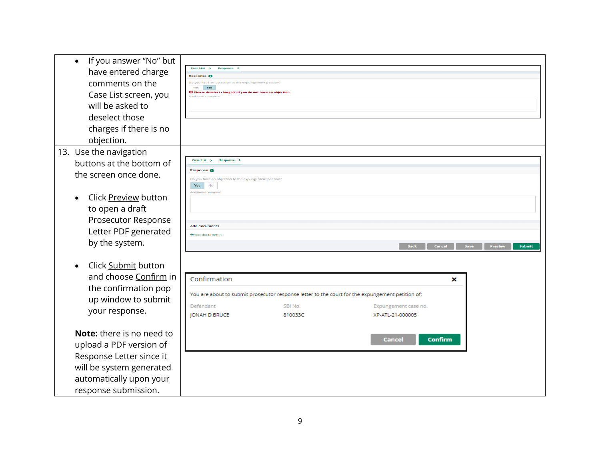• If you answer "No" but Case List  $\rightarrow$ Response > have entered charge Response <sup>O</sup> comments on the Yes No **C** Please deselect charge(s) if you do not have an o Case List screen, you will be asked to deselect those charges if there is no objection. 13. Use the navigation buttons at the bottom of Case List > Response > Response <sup>8</sup> the screen once done. Do you have an obj Yes No dditional comme • Click Preview button to open a draft Prosecutor Response **Add documents** Letter PDF generated +Add documents by the system. Cancel | Save **Preview** • Click Submit button and choose Confirm in Confirmation × the confirmation pop You are about to submit prosecutor response letter to the court for the expungement petition of: up window to submit SBI No. Defendant Expungement case no. your response. JONAH D BRUCE 810033C XP-ATL-21-000005 **Note:** there is no need to Cancel **Confirm** upload a PDF version of Response Letter since it will be system generated automatically upon your response submission.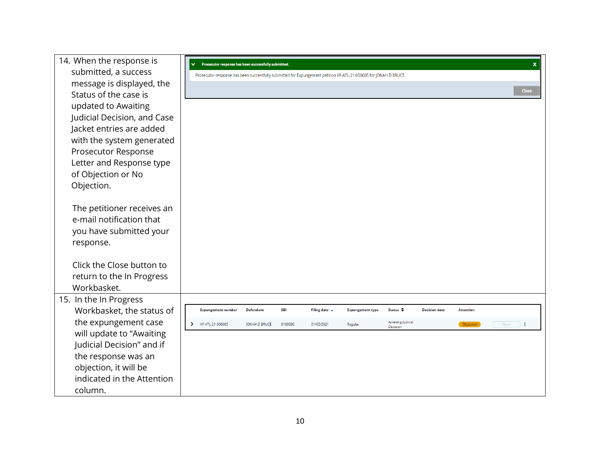| 14. When the response is    | Prosecutor response has been successfully submitted.<br>$\checkmark$                                             |                  |            |                           |                         |                    |                      |                  | $\boldsymbol{\mathsf{x}}$ |
|-----------------------------|------------------------------------------------------------------------------------------------------------------|------------------|------------|---------------------------|-------------------------|--------------------|----------------------|------------------|---------------------------|
| submitted, a success        | Prosecutor response has been successfully submitted for Expungement petition XP-ATL-21-000005 for JONAH D BRUCE. |                  |            |                           |                         |                    |                      |                  |                           |
| message is displayed, the   |                                                                                                                  |                  |            |                           |                         |                    |                      |                  |                           |
| Status of the case is       |                                                                                                                  |                  |            |                           |                         |                    |                      |                  | <b>Close</b>              |
| updated to Awaiting         |                                                                                                                  |                  |            |                           |                         |                    |                      |                  |                           |
| Judicial Decision, and Case |                                                                                                                  |                  |            |                           |                         |                    |                      |                  |                           |
| Jacket entries are added    |                                                                                                                  |                  |            |                           |                         |                    |                      |                  |                           |
| with the system generated   |                                                                                                                  |                  |            |                           |                         |                    |                      |                  |                           |
| Prosecutor Response         |                                                                                                                  |                  |            |                           |                         |                    |                      |                  |                           |
| Letter and Response type    |                                                                                                                  |                  |            |                           |                         |                    |                      |                  |                           |
| of Objection or No          |                                                                                                                  |                  |            |                           |                         |                    |                      |                  |                           |
| Objection.                  |                                                                                                                  |                  |            |                           |                         |                    |                      |                  |                           |
|                             |                                                                                                                  |                  |            |                           |                         |                    |                      |                  |                           |
| The petitioner receives an  |                                                                                                                  |                  |            |                           |                         |                    |                      |                  |                           |
| e-mail notification that    |                                                                                                                  |                  |            |                           |                         |                    |                      |                  |                           |
| you have submitted your     |                                                                                                                  |                  |            |                           |                         |                    |                      |                  |                           |
| response.                   |                                                                                                                  |                  |            |                           |                         |                    |                      |                  |                           |
|                             |                                                                                                                  |                  |            |                           |                         |                    |                      |                  |                           |
| Click the Close button to   |                                                                                                                  |                  |            |                           |                         |                    |                      |                  |                           |
| return to the In Progress   |                                                                                                                  |                  |            |                           |                         |                    |                      |                  |                           |
| Workbasket.                 |                                                                                                                  |                  |            |                           |                         |                    |                      |                  |                           |
| 15. In the In Progress      |                                                                                                                  |                  |            |                           |                         |                    |                      |                  |                           |
| Workbasket, the status of   | <b>Expungement number</b>                                                                                        | <b>Defendant</b> | <b>SBI</b> | Filing date $\rightarrow$ | <b>Expungement type</b> | Status $\triangle$ | <b>Decision date</b> | <b>Attention</b> |                           |
| the expungement case        | > XP-ATL-21-000005                                                                                               | JONAH D BRUCE    | 810033C    | 01/05/2021                | Regular                 | Awaiting Judicial  |                      | Objection        | Open<br>$\mathbf{H}$      |
| will update to "Awaiting    |                                                                                                                  |                  |            |                           |                         | Decision           |                      |                  |                           |
| Judicial Decision" and if   |                                                                                                                  |                  |            |                           |                         |                    |                      |                  |                           |
| the response was an         |                                                                                                                  |                  |            |                           |                         |                    |                      |                  |                           |
| objection, it will be       |                                                                                                                  |                  |            |                           |                         |                    |                      |                  |                           |
| indicated in the Attention  |                                                                                                                  |                  |            |                           |                         |                    |                      |                  |                           |
| column.                     |                                                                                                                  |                  |            |                           |                         |                    |                      |                  |                           |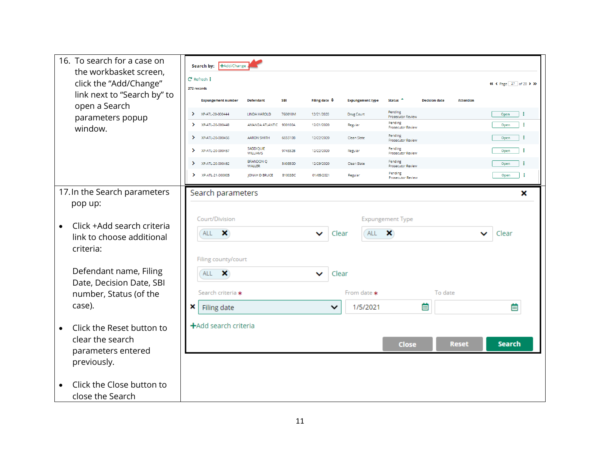|           | 16. To search for a case on                      |               | Search by: +Add/Change     |                                   |            |                          |             |                         |                                     |                      |                  |                        |
|-----------|--------------------------------------------------|---------------|----------------------------|-----------------------------------|------------|--------------------------|-------------|-------------------------|-------------------------------------|----------------------|------------------|------------------------|
|           | the workbasket screen,<br>click the "Add/Change" |               | C Refresh :<br>272 records |                                   |            |                          |             |                         |                                     |                      |                  | « < Page 27 of 28 > >> |
|           | link next to "Search by" to<br>open a Search     |               | <b>Expungement number</b>  | <b>Defendant</b>                  | <b>SBI</b> | Filing date $\triangleq$ |             | <b>Expungement type</b> | Status <sup>4</sup>                 | <b>Decision date</b> | <b>Attention</b> |                        |
|           | parameters popup                                 | ⋗             | XP-ATL-20-000444           | <b>LINDA HAROLD</b>               | 760010M    | 12/21/2020               |             | <b>Drug Court</b>       | Pending<br>Prosecutor Review        |                      |                  | ÷<br>Open              |
|           | window.                                          | $\rightarrow$ | XP-ATL-20-000449           | AMANDA ATLANTIC 900100A           |            | 12/21/2020               |             | Regular                 | Pending<br>Prosecutor Review        |                      |                  | ÷<br>Open              |
|           |                                                  | ▸             | XP-ATL-20-000456           | <b>AARON SMITH</b>                | 665510B    | 12/22/2020               |             | Clean Slate             | Pending<br><b>Prosecutor Review</b> |                      |                  | ÷<br>Open              |
|           |                                                  | $\rightarrow$ | XP-ATL-20-000457           | SADDIQUIE<br><b>WILLIAMS</b>      | 974332B    | 12/22/2020               |             | Regular                 | Pending<br>Prosecutor Review        |                      |                  | ÷<br>Open              |
|           |                                                  | $\rightarrow$ | XP-ATL-20-000462           | <b>BRANDON Q</b><br><b>WALLER</b> | 540350D    | 12/29/2020               |             | Clean Slate             | Pending<br>Prosecutor Review        |                      |                  | ÷<br>Open              |
|           |                                                  | $\rightarrow$ | XP-ATL-21-000005           | JONAH D BRUCE                     | 810033C    | 01/05/2021               |             | Regular                 | Pending<br>Prosecutor Review        |                      |                  | ÷<br>Open              |
|           | 17. In the Search parameters<br>pop up:          |               | Search parameters          |                                   |            |                          |             |                         |                                     |                      |                  | ×                      |
| $\bullet$ | Click +Add search criteria                       |               | Court/Division             |                                   |            |                          |             |                         | <b>Expungement Type</b>             |                      |                  |                        |
|           | link to choose additional                        |               | ×<br><b>ALL</b>            |                                   |            | ◡                        | Clear       | ALL                     | ×                                   |                      | v                | Clear                  |
|           | criteria:                                        |               | Filing county/court        |                                   |            |                          |             |                         |                                     |                      |                  |                        |
|           | Defendant name, Filing                           |               | ×<br><b>ALL</b>            |                                   |            | ◡                        | Clear       |                         |                                     |                      |                  |                        |
|           | Date, Decision Date, SBI                         |               |                            |                                   |            |                          |             |                         |                                     |                      |                  |                        |
|           | number, Status (of the                           |               | Search criteria *          |                                   |            |                          |             | From date *             |                                     | To date              |                  |                        |
|           | case).                                           | ×             | Filing date                |                                   |            |                          | $\check{ }$ | 1/5/2021                |                                     | 蔨                    |                  | 蔨                      |
| $\bullet$ | Click the Reset button to                        |               | +Add search criteria       |                                   |            |                          |             |                         |                                     |                      |                  |                        |
|           | clear the search                                 |               |                            |                                   |            |                          |             |                         | <b>Close</b>                        |                      | <b>Reset</b>     | <b>Search</b>          |
|           | parameters entered                               |               |                            |                                   |            |                          |             |                         |                                     |                      |                  |                        |
|           | previously.                                      |               |                            |                                   |            |                          |             |                         |                                     |                      |                  |                        |
|           | Click the Close button to                        |               |                            |                                   |            |                          |             |                         |                                     |                      |                  |                        |
|           | close the Search                                 |               |                            |                                   |            |                          |             |                         |                                     |                      |                  |                        |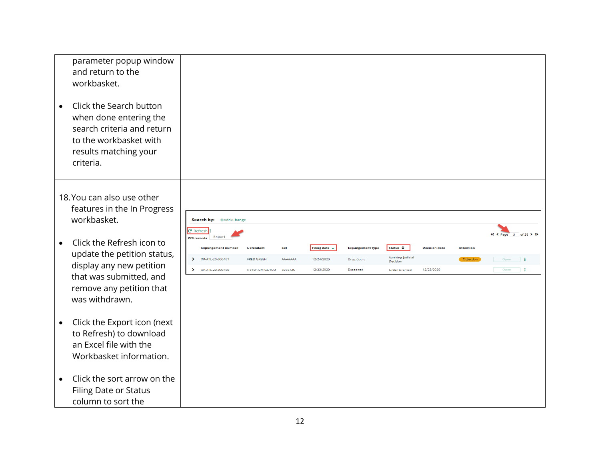| parameter popup window<br>and return to the<br>workbasket.                                                                                                   |                                                                          |                   |            |                    |                         |                           |                      |                  |                       |
|--------------------------------------------------------------------------------------------------------------------------------------------------------------|--------------------------------------------------------------------------|-------------------|------------|--------------------|-------------------------|---------------------------|----------------------|------------------|-----------------------|
| Click the Search button<br>$\bullet$<br>when done entering the<br>search criteria and return<br>to the workbasket with<br>results matching your<br>criteria. |                                                                          |                   |            |                    |                         |                           |                      |                  |                       |
| 18. You can also use other<br>features in the In Progress<br>workbasket.                                                                                     | Search by: +Add/Change                                                   |                   |            |                    |                         |                           |                      |                  |                       |
| Click the Refresh icon to<br>$\bullet$                                                                                                                       | <b>C</b> Refresh :<br>Export<br>278 records<br><b>Expungement number</b> | <b>Defendant</b>  | <b>SBI</b> | Filing date $\sim$ | <b>Expungement type</b> | Status $\triangleq$       | <b>Decision date</b> | <b>Attention</b> | « < Page 3 of 28 > >> |
| update the petition status,                                                                                                                                  | XP-ATL-20-000461<br>$\rightarrow$                                        | <b>FRED GREEN</b> | AAAAAAA    | 12/24/2020         | <b>Drug Court</b>       | Awaiting Judicial         |                      | Objection        | Open<br>$\Box$        |
| display any new petition                                                                                                                                     | $\mathbf{v}$<br>XP-ATL-20-000460                                         | NEYSHA M GOYCO    | 596572C    | 12/23/2020         | Expedited               | Decision<br>Order Granted | 12/23/2020           |                  | Open<br>$\mathbf{H}$  |
| that was submitted, and<br>remove any petition that<br>was withdrawn.                                                                                        |                                                                          |                   |            |                    |                         |                           |                      |                  |                       |
| Click the Export icon (next<br>$\bullet$<br>to Refresh) to download<br>an Excel file with the<br>Workbasket information.                                     |                                                                          |                   |            |                    |                         |                           |                      |                  |                       |
| Click the sort arrow on the<br>$\bullet$<br><b>Filing Date or Status</b><br>column to sort the                                                               |                                                                          |                   |            |                    |                         |                           |                      |                  |                       |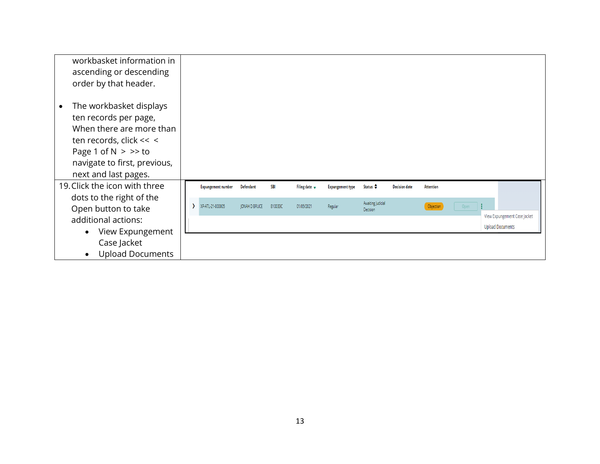| workbasket information in<br>ascending or descending<br>order by that header.                                                                                                                         |                           |                      |            |                           |                         |                               |                      |                  |      |                              |  |
|-------------------------------------------------------------------------------------------------------------------------------------------------------------------------------------------------------|---------------------------|----------------------|------------|---------------------------|-------------------------|-------------------------------|----------------------|------------------|------|------------------------------|--|
| The workbasket displays<br>$\bullet$<br>ten records per page,<br>When there are more than<br>ten records, click << <<br>Page 1 of $N > >>$ to<br>navigate to first, previous,<br>next and last pages. |                           |                      |            |                           |                         |                               |                      |                  |      |                              |  |
| 19. Click the icon with three                                                                                                                                                                         | <b>Expungement number</b> | Defendant            | <b>SBI</b> | Filing date $\rightarrow$ | <b>Expungement type</b> | Status $\triangle$            | <b>Decision date</b> | <b>Attention</b> |      |                              |  |
| dots to the right of the<br>Open button to take                                                                                                                                                       | XP-ATL-21-000005          | <b>JONAH D BRUCE</b> | 810033C    | 01/05/2021                | Regular                 | Awaiting Judicial<br>Decision |                      | Objection        | Open | View Expungement Case Jacket |  |
| additional actions:                                                                                                                                                                                   |                           |                      |            |                           |                         |                               |                      |                  |      | <b>Upload Documents</b>      |  |
| View Expungement<br>$\bullet$                                                                                                                                                                         |                           |                      |            |                           |                         |                               |                      |                  |      |                              |  |
| Case Jacket                                                                                                                                                                                           |                           |                      |            |                           |                         |                               |                      |                  |      |                              |  |
| <b>Upload Documents</b><br>$\bullet$                                                                                                                                                                  |                           |                      |            |                           |                         |                               |                      |                  |      |                              |  |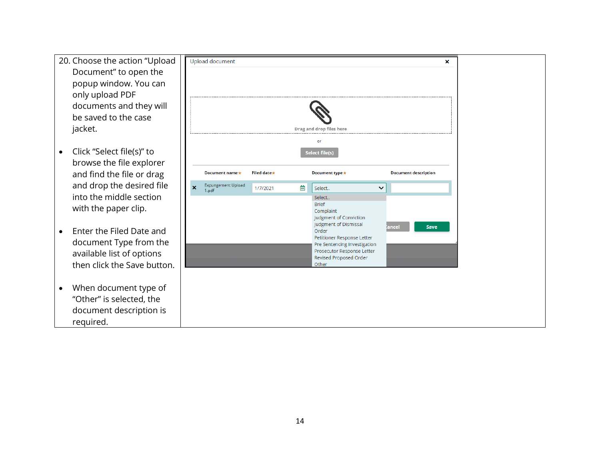- 20. Choose the action "Uploa Document" to open the popup window. You can only upload PDF documents and they will be saved to the case jacket.
- Click "Select file(s)" to browse the file explorer and find the file or drag and drop the desired file into the middle section with the paper clip.
- Enter the Filed Date and document Type from the available list of options then click the Save butto
- When document type of "Other" is selected, the document description is required.

|                           | Upload document                |              |   |                                                                                                                                                                                                                                |                             | × |
|---------------------------|--------------------------------|--------------|---|--------------------------------------------------------------------------------------------------------------------------------------------------------------------------------------------------------------------------------|-----------------------------|---|
|                           |                                |              |   |                                                                                                                                                                                                                                |                             |   |
|                           |                                |              |   |                                                                                                                                                                                                                                |                             |   |
|                           |                                |              |   | <b>Drag and drop files here</b>                                                                                                                                                                                                |                             |   |
|                           |                                |              |   | or                                                                                                                                                                                                                             |                             |   |
|                           |                                |              |   | Select file(s)                                                                                                                                                                                                                 |                             |   |
|                           | Document name*                 | Filed date * |   | Document type *                                                                                                                                                                                                                | <b>Document description</b> |   |
| $\boldsymbol{\mathsf{x}}$ | Expungement Upload<br>$1.$ pdf | 1/7/2021     | 菌 | Select<br>$\checkmark$                                                                                                                                                                                                         |                             |   |
|                           |                                |              |   | Select<br><b>Brief</b><br>Complaint<br>Judgment of Conviction<br>Judgment of Dismissal<br>Order<br>Petitioner Response Letter<br>Pre Sentencing Investigation<br>Prosecutor Response Letter<br>Revised Proposed Order<br>Other | <b>cancel</b><br>Save       |   |
|                           |                                |              |   |                                                                                                                                                                                                                                |                             |   |